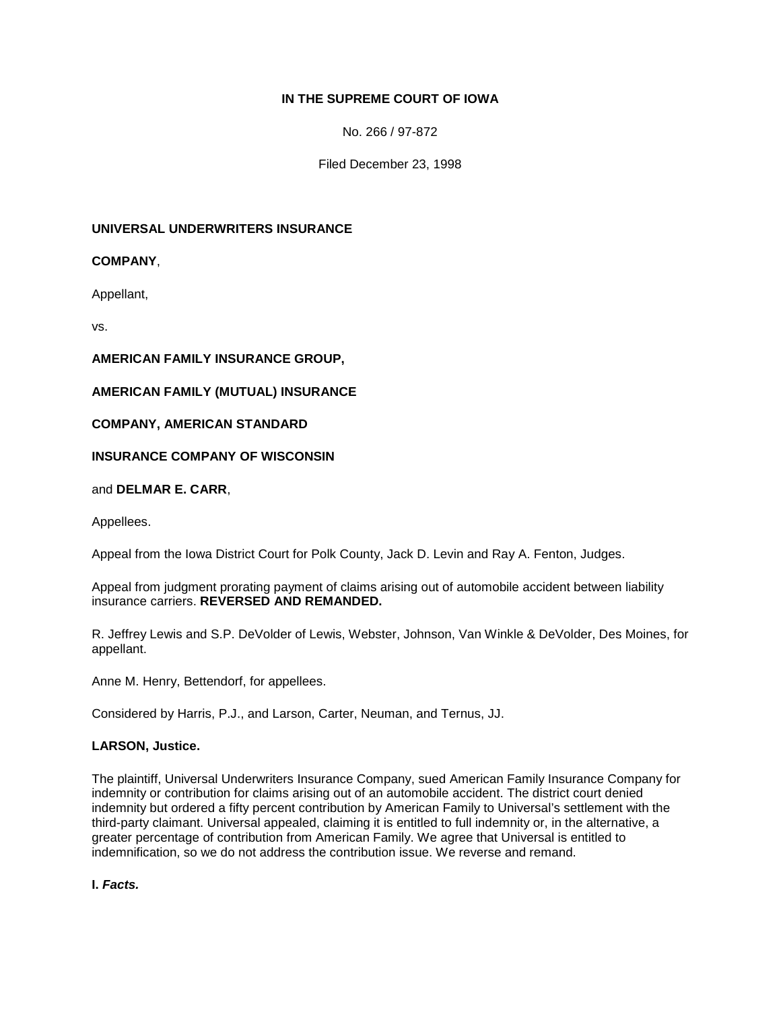# **IN THE SUPREME COURT OF IOWA**

No. 266 / 97-872

Filed December 23, 1998

### **UNIVERSAL UNDERWRITERS INSURANCE**

**COMPANY**,

Appellant,

vs.

**AMERICAN FAMILY INSURANCE GROUP,**

# **AMERICAN FAMILY (MUTUAL) INSURANCE**

**COMPANY, AMERICAN STANDARD**

# **INSURANCE COMPANY OF WISCONSIN**

and **DELMAR E. CARR**,

Appellees.

Appeal from the Iowa District Court for Polk County, Jack D. Levin and Ray A. Fenton, Judges.

Appeal from judgment prorating payment of claims arising out of automobile accident between liability insurance carriers. **REVERSED AND REMANDED.**

R. Jeffrey Lewis and S.P. DeVolder of Lewis, Webster, Johnson, Van Winkle & DeVolder, Des Moines, for appellant.

Anne M. Henry, Bettendorf, for appellees.

Considered by Harris, P.J., and Larson, Carter, Neuman, and Ternus, JJ.

#### **LARSON, Justice.**

The plaintiff, Universal Underwriters Insurance Company, sued American Family Insurance Company for indemnity or contribution for claims arising out of an automobile accident. The district court denied indemnity but ordered a fifty percent contribution by American Family to Universal's settlement with the third-party claimant. Universal appealed, claiming it is entitled to full indemnity or, in the alternative, a greater percentage of contribution from American Family. We agree that Universal is entitled to indemnification, so we do not address the contribution issue. We reverse and remand.

**I.** *Facts.*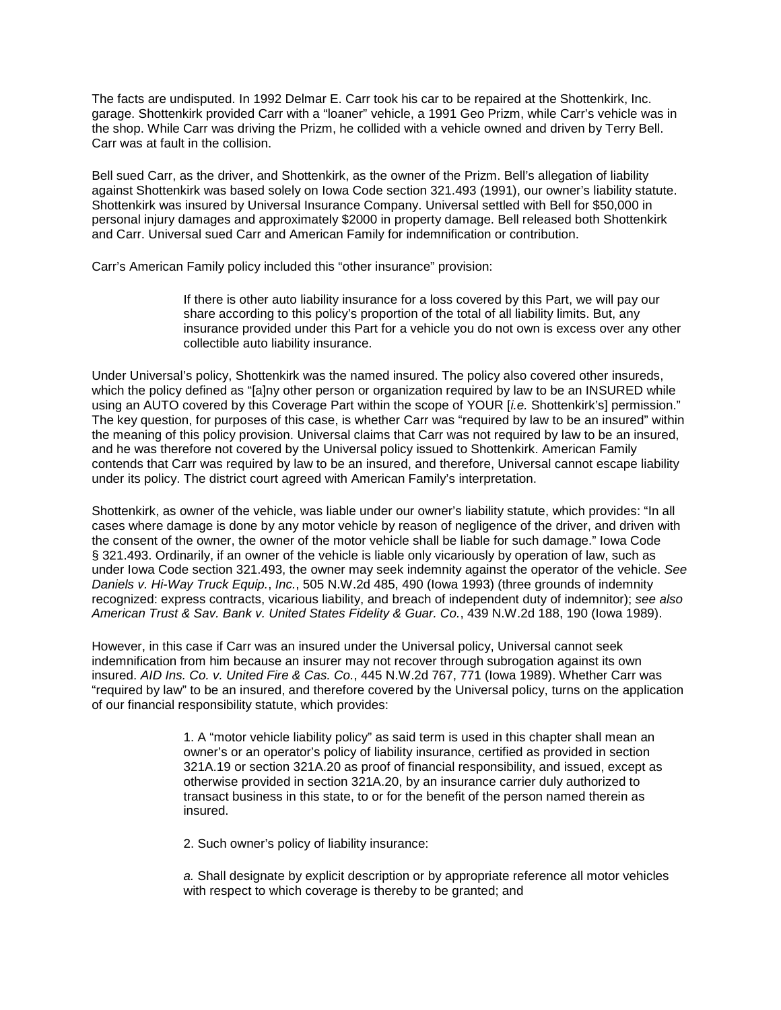The facts are undisputed. In 1992 Delmar E. Carr took his car to be repaired at the Shottenkirk, Inc. garage. Shottenkirk provided Carr with a "loaner" vehicle, a 1991 Geo Prizm, while Carr's vehicle was in the shop. While Carr was driving the Prizm, he collided with a vehicle owned and driven by Terry Bell. Carr was at fault in the collision.

Bell sued Carr, as the driver, and Shottenkirk, as the owner of the Prizm. Bell's allegation of liability against Shottenkirk was based solely on Iowa Code section 321.493 (1991), our owner's liability statute. Shottenkirk was insured by Universal Insurance Company. Universal settled with Bell for \$50,000 in personal injury damages and approximately \$2000 in property damage. Bell released both Shottenkirk and Carr. Universal sued Carr and American Family for indemnification or contribution.

Carr's American Family policy included this "other insurance" provision:

If there is other auto liability insurance for a loss covered by this Part, we will pay our share according to this policy's proportion of the total of all liability limits. But, any insurance provided under this Part for a vehicle you do not own is excess over any other collectible auto liability insurance.

Under Universal's policy, Shottenkirk was the named insured. The policy also covered other insureds, which the policy defined as "[a]ny other person or organization required by law to be an INSURED while using an AUTO covered by this Coverage Part within the scope of YOUR [*i.e.* Shottenkirk's] permission." The key question, for purposes of this case, is whether Carr was "required by law to be an insured" within the meaning of this policy provision. Universal claims that Carr was not required by law to be an insured, and he was therefore not covered by the Universal policy issued to Shottenkirk. American Family contends that Carr was required by law to be an insured, and therefore, Universal cannot escape liability under its policy. The district court agreed with American Family's interpretation.

Shottenkirk, as owner of the vehicle, was liable under our owner's liability statute, which provides: "In all cases where damage is done by any motor vehicle by reason of negligence of the driver, and driven with the consent of the owner, the owner of the motor vehicle shall be liable for such damage." Iowa Code § 321.493. Ordinarily, if an owner of the vehicle is liable only vicariously by operation of law, such as under Iowa Code section 321.493, the owner may seek indemnity against the operator of the vehicle. *See Daniels v. Hi-Way Truck Equip.*, *Inc.*, 505 N.W.2d 485, 490 (Iowa 1993) (three grounds of indemnity recognized: express contracts, vicarious liability, and breach of independent duty of indemnitor); *see also American Trust & Sav. Bank v. United States Fidelity & Guar. Co.*, 439 N.W.2d 188, 190 (Iowa 1989).

However, in this case if Carr was an insured under the Universal policy, Universal cannot seek indemnification from him because an insurer may not recover through subrogation against its own insured. *AID Ins. Co. v. United Fire & Cas. Co.*, 445 N.W.2d 767, 771 (Iowa 1989). Whether Carr was "required by law" to be an insured, and therefore covered by the Universal policy, turns on the application of our financial responsibility statute, which provides:

> 1. A "motor vehicle liability policy" as said term is used in this chapter shall mean an owner's or an operator's policy of liability insurance, certified as provided in section 321A.19 or section 321A.20 as proof of financial responsibility, and issued, except as otherwise provided in section 321A.20, by an insurance carrier duly authorized to transact business in this state, to or for the benefit of the person named therein as insured.

2. Such owner's policy of liability insurance:

*a.* Shall designate by explicit description or by appropriate reference all motor vehicles with respect to which coverage is thereby to be granted; and